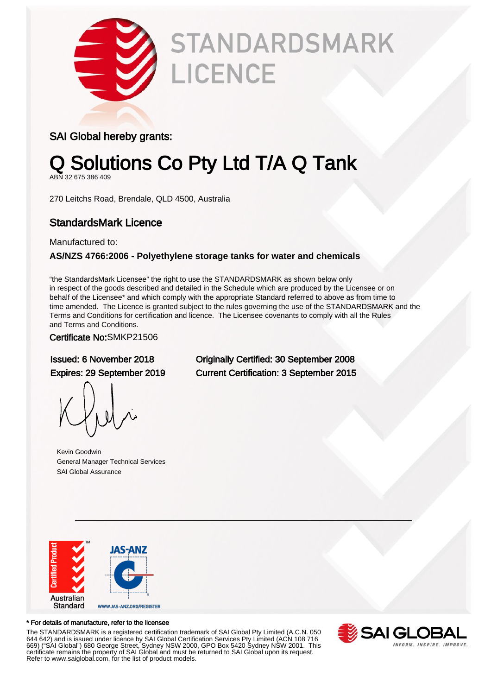

# **STANDARDSMARK LICENCE**

### SAI Global hereby grants:

## Q Solutions Co Pty Ltd T/A Q Tank

ABN 32 675 386 409

270 Leitchs Road, Brendale, QLD 4500, Australia

### StandardsMark Licence

Manufactured to:

#### **AS/NZS 4766:2006 - Polyethylene storage tanks for water and chemicals**

"the StandardsMark Licensee" the right to use the STANDARDSMARK as shown below only in respect of the goods described and detailed in the Schedule which are produced by the Licensee or on behalf of the Licensee\* and which comply with the appropriate Standard referred to above as from time to time amended. The Licence is granted subject to the rules governing the use of the STANDARDSMARK and the Terms and Conditions for certification and licence. The Licensee covenants to comply with all the Rules and Terms and Conditions.

#### Certificate No:SMKP21506

Kevin Goodwin General Manager Technical Services SAI Global Assurance



#### \* For details of manufacture, refer to the licensee

The STANDARDSMARK is a registered certification trademark of SAI Global Pty Limited (A.C.N. 050 644 642) and is issued under licence by SAI Global Certification Services Pty Limited (ACN 108 716 669) ("SAI Global") 680 George Street, Sydney NSW 2000, GPO Box 5420 Sydney NSW 2001. This certificate remains the property of SAI Global and must be returned to SAI Global upon its request. Refer to www.saiglobal.com, for the list of product models.



Issued: 6 November 2018 Originally Certified: 30 September 2008 Expires: 29 September 2019 Current Certification: 3 September 2015